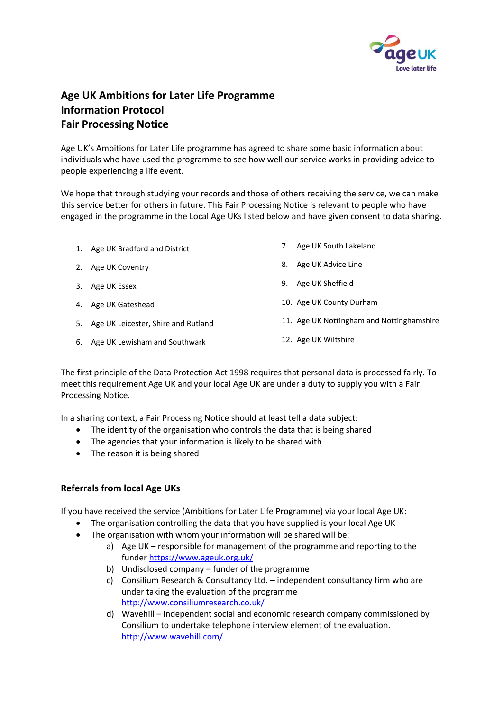

## **Age UK Ambitions for Later Life Programme Information Protocol Fair Processing Notice**

Age UK's Ambitions for Later Life programme has agreed to share some basic information about individuals who have used the programme to see how well our service works in providing advice to people experiencing a life event.

We hope that through studying your records and those of others receiving the service, we can make this service better for others in future. This Fair Processing Notice is relevant to people who have engaged in the programme in the Local Age UKs listed below and have given consent to data sharing.

| 1. Age UK Bradford and District        |    | 7. Age UK South Lakeland                  |
|----------------------------------------|----|-------------------------------------------|
| 2. Age UK Coventry                     | 8. | Age UK Advice Line                        |
| 3. Age UK Essex                        | 9. | Age UK Sheffield                          |
| 4. Age UK Gateshead                    |    | 10. Age UK County Durham                  |
| 5. Age UK Leicester, Shire and Rutland |    | 11. Age UK Nottingham and Nottinghamshire |
| 6. Age UK Lewisham and Southwark       |    | 12. Age UK Wiltshire                      |

The first principle of the Data Protection Act 1998 requires that personal data is processed fairly. To meet this requirement Age UK and your local Age UK are under a duty to supply you with a Fair Processing Notice.

In a sharing context, a Fair Processing Notice should at least tell a data subject:

- The identity of the organisation who controls the data that is being shared
- The agencies that your information is likely to be shared with
- The reason it is being shared

## **Referrals from local Age UKs**

If you have received the service (Ambitions for Later Life Programme) via your local Age UK:

- The organisation controlling the data that you have supplied is your local Age UK
- The organisation with whom your information will be shared will be:
	- a) Age UK responsible for management of the programme and reporting to the funde[r https://www.ageuk.org.uk/](https://www.ageuk.org.uk/)
	- b) Undisclosed company funder of the programme
	- c) Consilium Research & Consultancy Ltd. independent consultancy firm who are under taking the evaluation of the programme <http://www.consiliumresearch.co.uk/>
	- d) Wavehill independent social and economic research company commissioned by Consilium to undertake telephone interview element of the evaluation. <http://www.wavehill.com/>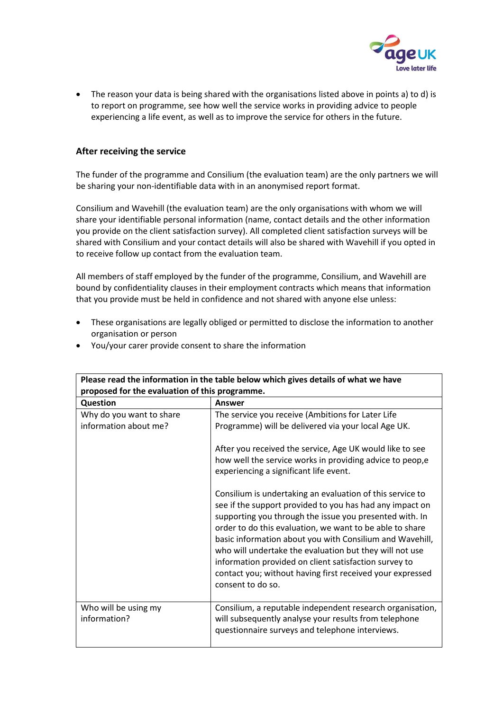

 The reason your data is being shared with the organisations listed above in points a) to d) is to report on programme, see how well the service works in providing advice to people experiencing a life event, as well as to improve the service for others in the future.

## **After receiving the service**

The funder of the programme and Consilium (the evaluation team) are the only partners we will be sharing your non-identifiable data with in an anonymised report format.

Consilium and Wavehill (the evaluation team) are the only organisations with whom we will share your identifiable personal information (name, contact details and the other information you provide on the client satisfaction survey). All completed client satisfaction surveys will be shared with Consilium and your contact details will also be shared with Wavehill if you opted in to receive follow up contact from the evaluation team.

All members of staff employed by the funder of the programme, Consilium, and Wavehill are bound by confidentiality clauses in their employment contracts which means that information that you provide must be held in confidence and not shared with anyone else unless:

 These organisations are legally obliged or permitted to disclose the information to another organisation or person

| Please read the information in the table below which gives details of what we have<br>proposed for the evaluation of this programme. |                                                                                                                                                                                                                                                                                                                                                                                                                                                                                                                                                                                                                                                                                                                                                                                               |  |  |  |
|--------------------------------------------------------------------------------------------------------------------------------------|-----------------------------------------------------------------------------------------------------------------------------------------------------------------------------------------------------------------------------------------------------------------------------------------------------------------------------------------------------------------------------------------------------------------------------------------------------------------------------------------------------------------------------------------------------------------------------------------------------------------------------------------------------------------------------------------------------------------------------------------------------------------------------------------------|--|--|--|
| <b>Question</b>                                                                                                                      | <b>Answer</b>                                                                                                                                                                                                                                                                                                                                                                                                                                                                                                                                                                                                                                                                                                                                                                                 |  |  |  |
| Why do you want to share<br>information about me?                                                                                    | The service you receive (Ambitions for Later Life<br>Programme) will be delivered via your local Age UK.<br>After you received the service, Age UK would like to see<br>how well the service works in providing advice to peop, e<br>experiencing a significant life event.<br>Consilium is undertaking an evaluation of this service to<br>see if the support provided to you has had any impact on<br>supporting you through the issue you presented with. In<br>order to do this evaluation, we want to be able to share<br>basic information about you with Consilium and Wavehill,<br>who will undertake the evaluation but they will not use<br>information provided on client satisfaction survey to<br>contact you; without having first received your expressed<br>consent to do so. |  |  |  |
| Who will be using my<br>information?                                                                                                 | Consilium, a reputable independent research organisation,<br>will subsequently analyse your results from telephone<br>questionnaire surveys and telephone interviews.                                                                                                                                                                                                                                                                                                                                                                                                                                                                                                                                                                                                                         |  |  |  |

You/your carer provide consent to share the information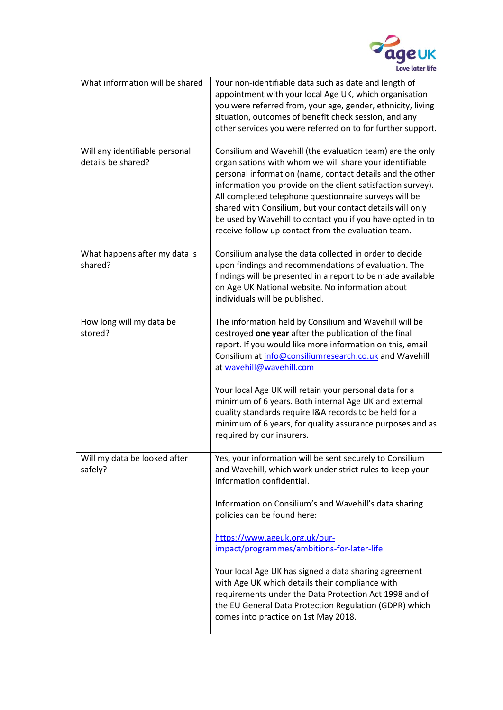

| What information will be shared                      | Your non-identifiable data such as date and length of<br>appointment with your local Age UK, which organisation<br>you were referred from, your age, gender, ethnicity, living<br>situation, outcomes of benefit check session, and any<br>other services you were referred on to for further support.                                                                                                                                                                                      |
|------------------------------------------------------|---------------------------------------------------------------------------------------------------------------------------------------------------------------------------------------------------------------------------------------------------------------------------------------------------------------------------------------------------------------------------------------------------------------------------------------------------------------------------------------------|
| Will any identifiable personal<br>details be shared? | Consilium and Wavehill (the evaluation team) are the only<br>organisations with whom we will share your identifiable<br>personal information (name, contact details and the other<br>information you provide on the client satisfaction survey).<br>All completed telephone questionnaire surveys will be<br>shared with Consilium, but your contact details will only<br>be used by Wavehill to contact you if you have opted in to<br>receive follow up contact from the evaluation team. |
| What happens after my data is<br>shared?             | Consilium analyse the data collected in order to decide<br>upon findings and recommendations of evaluation. The<br>findings will be presented in a report to be made available<br>on Age UK National website. No information about<br>individuals will be published.                                                                                                                                                                                                                        |
| How long will my data be<br>stored?                  | The information held by Consilium and Wavehill will be<br>destroyed one year after the publication of the final<br>report. If you would like more information on this, email<br>Consilium at info@consiliumresearch.co.uk and Wavehill<br>at wavehill@wavehill.com                                                                                                                                                                                                                          |
|                                                      | Your local Age UK will retain your personal data for a<br>minimum of 6 years. Both internal Age UK and external<br>quality standards require I&A records to be held for a<br>minimum of 6 years, for quality assurance purposes and as<br>required by our insurers.                                                                                                                                                                                                                         |
| Will my data be looked after<br>safely?              | Yes, your information will be sent securely to Consilium<br>and Wavehill, which work under strict rules to keep your<br>information confidential.                                                                                                                                                                                                                                                                                                                                           |
|                                                      | Information on Consilium's and Wavehill's data sharing<br>policies can be found here:                                                                                                                                                                                                                                                                                                                                                                                                       |
|                                                      | https://www.ageuk.org.uk/our-<br>impact/programmes/ambitions-for-later-life                                                                                                                                                                                                                                                                                                                                                                                                                 |
|                                                      | Your local Age UK has signed a data sharing agreement<br>with Age UK which details their compliance with<br>requirements under the Data Protection Act 1998 and of<br>the EU General Data Protection Regulation (GDPR) which<br>comes into practice on 1st May 2018.                                                                                                                                                                                                                        |